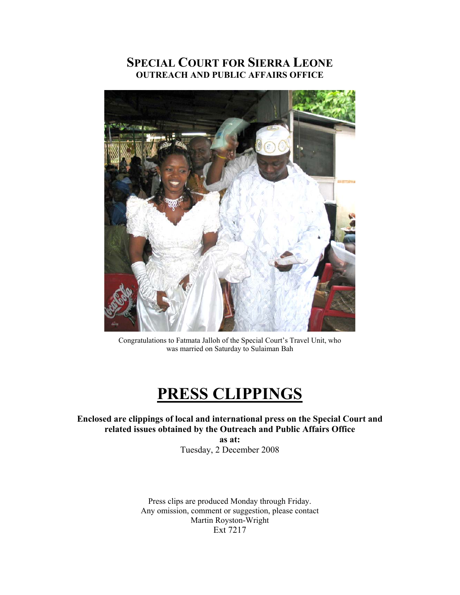## **SPECIAL COURT FOR SIERRA LEONE OUTREACH AND PUBLIC AFFAIRS OFFICE**



Congratulations to Fatmata Jalloh of the Special Court's Travel Unit, who was married on Saturday to Sulaiman Bah

# **PRESS CLIPPINGS**

**Enclosed are clippings of local and international press on the Special Court and related issues obtained by the Outreach and Public Affairs Office** 

> **as at:**  Tuesday, 2 December 2008

Press clips are produced Monday through Friday. Any omission, comment or suggestion, please contact Martin Royston-Wright Ext 7217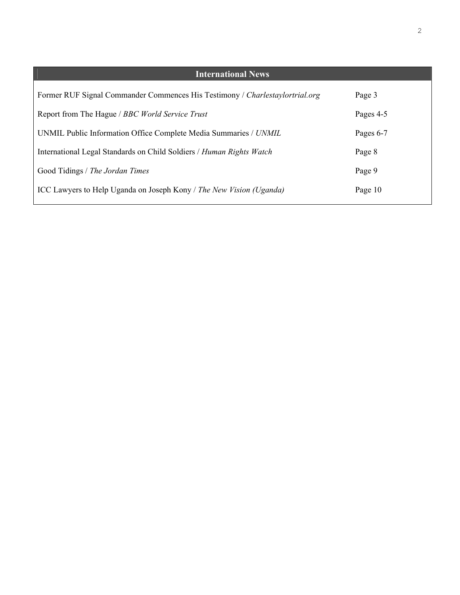| <b>International News</b>                                                    |           |
|------------------------------------------------------------------------------|-----------|
| Former RUF Signal Commander Commences His Testimony / Charlestaylortrial.org | Page 3    |
| Report from The Hague / BBC World Service Trust                              | Pages 4-5 |
| UNMIL Public Information Office Complete Media Summaries / UNMIL             | Pages 6-7 |
| International Legal Standards on Child Soldiers / Human Rights Watch         | Page 8    |
| Good Tidings / The Jordan Times                                              | Page 9    |
| ICC Lawyers to Help Uganda on Joseph Kony / The New Vision (Uganda)          | Page 10   |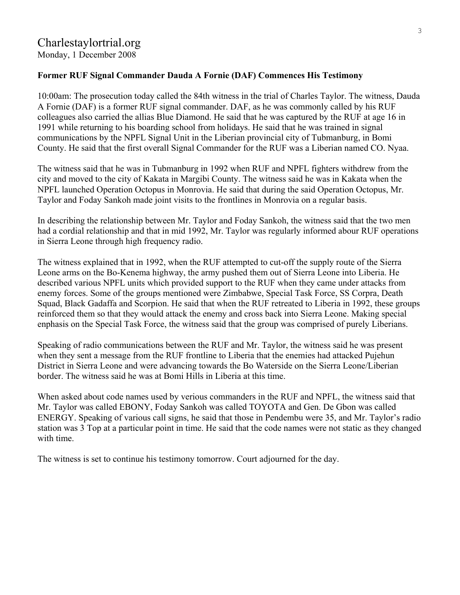### **Former RUF Signal Commander Dauda A Fornie (DAF) Commences His Testimony**

10:00am: The prosecution today called the 84th witness in the trial of Charles Taylor. The witness, Dauda A Fornie (DAF) is a former RUF signal commander. DAF, as he was commonly called by his RUF colleagues also carried the allias Blue Diamond. He said that he was captured by the RUF at age 16 in 1991 while returning to his boarding school from holidays. He said that he was trained in signal communications by the NPFL Signal Unit in the Liberian provincial city of Tubmanburg, in Bomi County. He said that the first overall Signal Commander for the RUF was a Liberian named CO. Nyaa.

The witness said that he was in Tubmanburg in 1992 when RUF and NPFL fighters withdrew from the city and moved to the city of Kakata in Margibi County. The witness said he was in Kakata when the NPFL launched Operation Octopus in Monrovia. He said that during the said Operation Octopus, Mr. Taylor and Foday Sankoh made joint visits to the frontlines in Monrovia on a regular basis.

In describing the relationship between Mr. Taylor and Foday Sankoh, the witness said that the two men had a cordial relationship and that in mid 1992, Mr. Taylor was regularly informed abour RUF operations in Sierra Leone through high frequency radio.

The witness explained that in 1992, when the RUF attempted to cut-off the supply route of the Sierra Leone arms on the Bo-Kenema highway, the army pushed them out of Sierra Leone into Liberia. He described various NPFL units which provided support to the RUF when they came under attacks from enemy forces. Some of the groups mentioned were Zimbabwe, Special Task Force, SS Corpra, Death Squad, Black Gadaffa and Scorpion. He said that when the RUF retreated to Liberia in 1992, these groups reinforced them so that they would attack the enemy and cross back into Sierra Leone. Making special enphasis on the Special Task Force, the witness said that the group was comprised of purely Liberians.

Speaking of radio communications between the RUF and Mr. Taylor, the witness said he was present when they sent a message from the RUF frontline to Liberia that the enemies had attacked Pujehun District in Sierra Leone and were advancing towards the Bo Waterside on the Sierra Leone/Liberian border. The witness said he was at Bomi Hills in Liberia at this time.

When asked about code names used by verious commanders in the RUF and NPFL, the witness said that Mr. Taylor was called EBONY, Foday Sankoh was called TOYOTA and Gen. De Gbon was called ENERGY. Speaking of various call signs, he said that those in Pendembu were 35, and Mr. Taylor's radio station was 3 Top at a particular point in time. He said that the code names were not static as they changed with time.

The witness is set to continue his testimony tomorrow. Court adjourned for the day.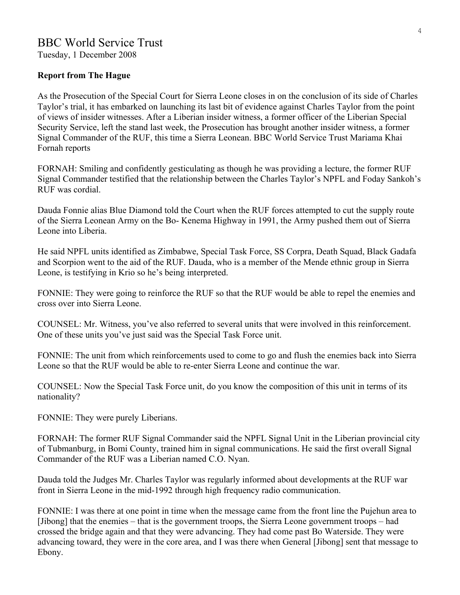### BBC World Service Trust

Tuesday, 1 December 2008

### **Report from The Hague**

As the Prosecution of the Special Court for Sierra Leone closes in on the conclusion of its side of Charles Taylor's trial, it has embarked on launching its last bit of evidence against Charles Taylor from the point of views of insider witnesses. After a Liberian insider witness, a former officer of the Liberian Special Security Service, left the stand last week, the Prosecution has brought another insider witness, a former Signal Commander of the RUF, this time a Sierra Leonean. BBC World Service Trust Mariama Khai Fornah reports

FORNAH: Smiling and confidently gesticulating as though he was providing a lecture, the former RUF Signal Commander testified that the relationship between the Charles Taylor's NPFL and Foday Sankoh's RUF was cordial.

Dauda Fonnie alias Blue Diamond told the Court when the RUF forces attempted to cut the supply route of the Sierra Leonean Army on the Bo- Kenema Highway in 1991, the Army pushed them out of Sierra Leone into Liberia.

He said NPFL units identified as Zimbabwe, Special Task Force, SS Corpra, Death Squad, Black Gadafa and Scorpion went to the aid of the RUF. Dauda, who is a member of the Mende ethnic group in Sierra Leone, is testifying in Krio so he's being interpreted.

FONNIE: They were going to reinforce the RUF so that the RUF would be able to repel the enemies and cross over into Sierra Leone.

COUNSEL: Mr. Witness, you've also referred to several units that were involved in this reinforcement. One of these units you've just said was the Special Task Force unit.

FONNIE: The unit from which reinforcements used to come to go and flush the enemies back into Sierra Leone so that the RUF would be able to re-enter Sierra Leone and continue the war.

COUNSEL: Now the Special Task Force unit, do you know the composition of this unit in terms of its nationality?

FONNIE: They were purely Liberians.

FORNAH: The former RUF Signal Commander said the NPFL Signal Unit in the Liberian provincial city of Tubmanburg, in Bomi County, trained him in signal communications. He said the first overall Signal Commander of the RUF was a Liberian named C.O. Nyan.

Dauda told the Judges Mr. Charles Taylor was regularly informed about developments at the RUF war front in Sierra Leone in the mid-1992 through high frequency radio communication.

FONNIE: I was there at one point in time when the message came from the front line the Pujehun area to [Jibong] that the enemies – that is the government troops, the Sierra Leone government troops – had crossed the bridge again and that they were advancing. They had come past Bo Waterside. They were advancing toward, they were in the core area, and I was there when General [Jibong] sent that message to Ebony.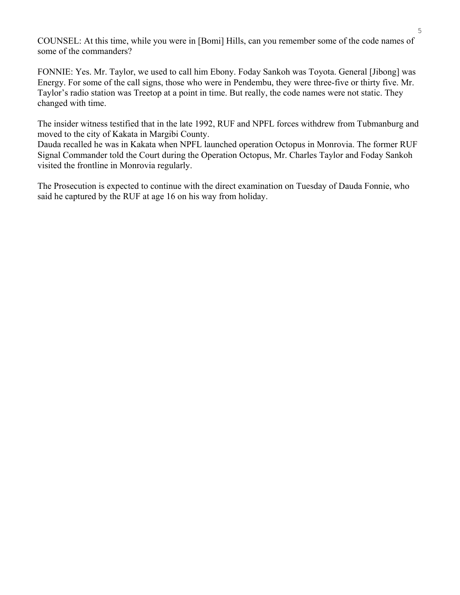COUNSEL: At this time, while you were in [Bomi] Hills, can you remember some of the code names of some of the commanders?

FONNIE: Yes. Mr. Taylor, we used to call him Ebony. Foday Sankoh was Toyota. General [Jibong] was Energy. For some of the call signs, those who were in Pendembu, they were three-five or thirty five. Mr. Taylor's radio station was Treetop at a point in time. But really, the code names were not static. They changed with time.

The insider witness testified that in the late 1992, RUF and NPFL forces withdrew from Tubmanburg and moved to the city of Kakata in Margibi County.

Dauda recalled he was in Kakata when NPFL launched operation Octopus in Monrovia. The former RUF Signal Commander told the Court during the Operation Octopus, Mr. Charles Taylor and Foday Sankoh visited the frontline in Monrovia regularly.

The Prosecution is expected to continue with the direct examination on Tuesday of Dauda Fonnie, who said he captured by the RUF at age 16 on his way from holiday.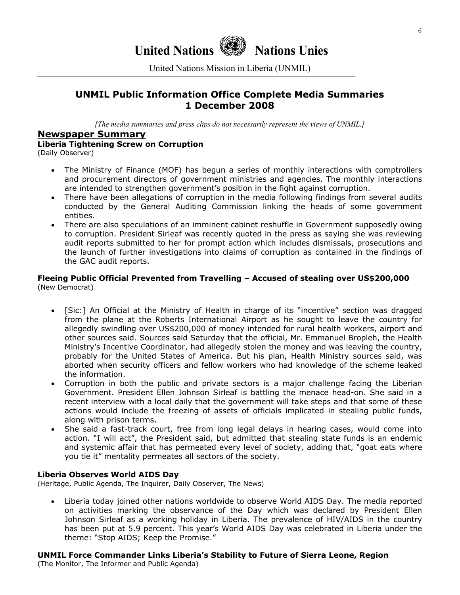# **United Nations Nations Unies**

United Nations Mission in Liberia (UNMIL)

### **UNMIL Public Information Office Complete Media Summaries 1 December 2008**

*[The media summaries and press clips do not necessarily represent the views of UNMIL.]*

### **Newspaper Summary**

### **Liberia Tightening Screw on Corruption**

(Daily Observer)

- The Ministry of Finance (MOF) has begun a series of monthly interactions with comptrollers and procurement directors of government ministries and agencies. The monthly interactions are intended to strengthen government's position in the fight against corruption.
- There have been allegations of corruption in the media following findings from several audits conducted by the General Auditing Commission linking the heads of some government entities.
- There are also speculations of an imminent cabinet reshuffle in Government supposedly owing to corruption. President Sirleaf was recently quoted in the press as saying she was reviewing audit reports submitted to her for prompt action which includes dismissals, prosecutions and the launch of further investigations into claims of corruption as contained in the findings of the GAC audit reports.

#### **Fleeing Public Official Prevented from Travelling – Accused of stealing over US\$200,000**  (New Democrat)

- [Sic:] An Official at the Ministry of Health in charge of its "incentive" section was dragged from the plane at the Roberts International Airport as he sought to leave the country for allegedly swindling over US\$200,000 of money intended for rural health workers, airport and other sources said. Sources said Saturday that the official, Mr. Emmanuel Bropleh, the Health Ministry's Incentive Coordinator, had allegedly stolen the money and was leaving the country, probably for the United States of America. But his plan, Health Ministry sources said, was aborted when security officers and fellow workers who had knowledge of the scheme leaked the information.
- Corruption in both the public and private sectors is a major challenge facing the Liberian Government. President Ellen Johnson Sirleaf is battling the menace head-on. She said in a recent interview with a local daily that the government will take steps and that some of these actions would include the freezing of assets of officials implicated in stealing public funds, along with prison terms.
- She said a fast-track court, free from long legal delays in hearing cases, would come into action. "I will act", the President said, but admitted that stealing state funds is an endemic and systemic affair that has permeated every level of society, adding that, "goat eats where you tie it" mentality permeates all sectors of the society.

### **Liberia Observes World AIDS Day**

(Heritage, Public Agenda, The Inquirer, Daily Observer, The News)

• Liberia today joined other nations worldwide to observe World AIDS Day. The media reported on activities marking the observance of the Day which was declared by President Ellen Johnson Sirleaf as a working holiday in Liberia. The prevalence of HIV/AIDS in the country has been put at 5.9 percent. This year's World AIDS Day was celebrated in Liberia under the theme: "Stop AIDS; Keep the Promise."

### **UNMIL Force Commander Links Liberia's Stability to Future of Sierra Leone, Region**

(The Monitor, The Informer and Public Agenda)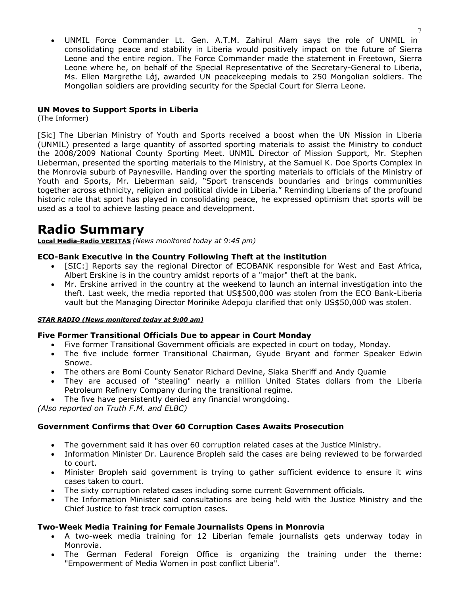• UNMIL Force Commander Lt. Gen. A.T.M. Zahirul Alam says the role of UNMIL in consolidating peace and stability in Liberia would positively impact on the future of Sierra Leone and the entire region. The Force Commander made the statement in Freetown, Sierra Leone where he, on behalf of the Special Representative of the Secretary-General to Liberia, Ms. Ellen Margrethe Lǿj, awarded UN peacekeeping medals to 250 Mongolian soldiers. The Mongolian soldiers are providing security for the Special Court for Sierra Leone.

### **UN Moves to Support Sports in Liberia**

(The Informer)

[Sic] The Liberian Ministry of Youth and Sports received a boost when the UN Mission in Liberia (UNMIL) presented a large quantity of assorted sporting materials to assist the Ministry to conduct the 2008/2009 National County Sporting Meet. UNMIL Director of Mission Support, Mr. Stephen Lieberman, presented the sporting materials to the Ministry, at the Samuel K. Doe Sports Complex in the Monrovia suburb of Paynesville. Handing over the sporting materials to officials of the Ministry of Youth and Sports, Mr. Lieberman said, "Sport transcends boundaries and brings communities together across ethnicity, religion and political divide in Liberia." Reminding Liberians of the profound historic role that sport has played in consolidating peace, he expressed optimism that sports will be used as a tool to achieve lasting peace and development.

# **Radio Summary**

**Local Media-Radio VERITAS** *(News monitored today at 9:45 pm)* 

### **ECO-Bank Executive in the Country Following Theft at the institution**

- [SIC:] Reports say the regional Director of ECOBANK responsible for West and East Africa, Albert Erskine is in the country amidst reports of a "major" theft at the bank.
- Mr. Erskine arrived in the country at the weekend to launch an internal investigation into the theft. Last week, the media reported that US\$500,000 was stolen from the ECO Bank-Liberia vault but the Managing Director Morinike Adepoju clarified that only US\$50,000 was stolen.

#### *STAR RADIO (News monitored today at 9:00 am)*

### **Five Former Transitional Officials Due to appear in Court Monday**

- Five former Transitional Government officials are expected in court on today, Monday.
- The five include former Transitional Chairman, Gyude Bryant and former Speaker Edwin Snowe.
- The others are Bomi County Senator Richard Devine, Siaka Sheriff and Andy Quamie
- They are accused of "stealing" nearly a million United States dollars from the Liberia Petroleum Refinery Company during the transitional regime.
- The five have persistently denied any financial wrongdoing.

*(Also reported on Truth F.M. and ELBC)* 

### **Government Confirms that Over 60 Corruption Cases Awaits Prosecution**

- The government said it has over 60 corruption related cases at the Justice Ministry.
- Information Minister Dr. Laurence Bropleh said the cases are being reviewed to be forwarded to court.
- Minister Bropleh said government is trying to gather sufficient evidence to ensure it wins cases taken to court.
- The sixty corruption related cases including some current Government officials.
- The Information Minister said consultations are being held with the Justice Ministry and the Chief Justice to fast track corruption cases.

### **Two-Week Media Training for Female Journalists Opens in Monrovia**

- A two-week media training for 12 Liberian female journalists gets underway today in Monrovia.
- The German Federal Foreign Office is organizing the training under the theme: "Empowerment of Media Women in post conflict Liberia".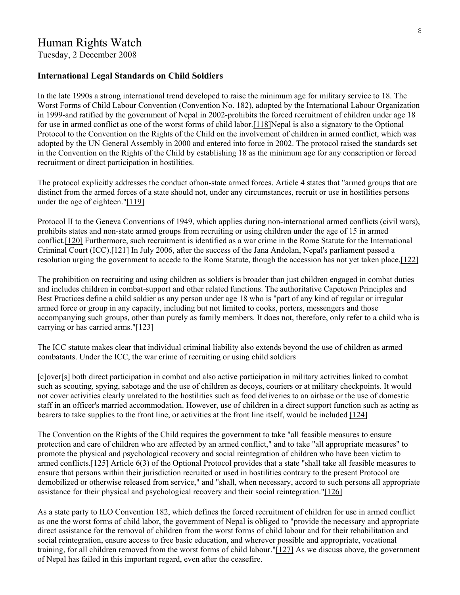Tuesday, 2 December 2008

### **International Legal Standards on Child [Soldiers](http://www.hrw.org/en/node/11040/section/5)**

In the late 1990s a strong international trend developed to raise the minimum age for military service to 18. The Worst Forms of Child Labour Convention (Convention No. 182), adopted by the International Labour Organization in 1999-and ratified by the government of Nepal in 2002-prohibits the forced recruitment of children under age 18 for use in armed conflict as one of the worst forms of child labor[.\[118\]N](http://www.hrw.org/en/node/11040/section/9)epal is also a signatory to the Optional Protocol to the Convention on the Rights of the Child on the involvement of children in armed conflict, which was adopted by the UN General Assembly in 2000 and entered into force in 2002. The protocol raised the standards set in the Convention on the Rights of the Child by establishing 18 as the minimum age for any conscription or forced recruitment or direct participation in hostilities.

The protocol explicitly addresses the conduct ofnon-state armed forces. Article 4 states that "armed groups that are distinct from the armed forces of a state should not, under any circumstances, recruit or use in hostilities persons under the age of eighteen.["\[119\]](http://www.hrw.org/en/node/11040/section/9)

Protocol II to the Geneva Conventions of 1949, which applies during non-international armed conflicts (civil wars), prohibits states and non-state armed groups from recruiting or using children under the age of 15 in armed conflict[.\[120\]](http://www.hrw.org/en/node/11040/section/9) Furthermore, such recruitment is identified as a war crime in the Rome Statute for the International Criminal Court (ICC)[.\[121\]](http://www.hrw.org/en/node/11040/section/9) In July 2006, after the success of the Jana Andolan, Nepal's parliament passed a resolution urging the government to accede to the Rome Statute, though the accession has not yet taken place.[\[122\]](http://www.hrw.org/en/node/11040/section/9)

The prohibition on recruiting and using children as soldiers is broader than just children engaged in combat duties and includes children in combat-support and other related functions. The authoritative Capetown Principles and Best Practices define a child soldier as any person under age 18 who is "part of any kind of regular or irregular armed force or group in any capacity, including but not limited to cooks, porters, messengers and those accompanying such groups, other than purely as family members. It does not, therefore, only refer to a child who is carrying or has carried arms."[\[123\]](http://www.hrw.org/en/node/11040/section/9)

The ICC statute makes clear that individual criminal liability also extends beyond the use of children as armed combatants. Under the ICC, the war crime of recruiting or using child soldiers

[c]over[s] both direct participation in combat and also active participation in military activities linked to combat such as scouting, spying, sabotage and the use of children as decoys, couriers or at military checkpoints. It would not cover activities clearly unrelated to the hostilities such as food deliveries to an airbase or the use of domestic staff in an officer's married accommodation. However, use of children in a direct support function such as acting as bearers to take supplies to the front line, or activities at the front line itself, would be included [\[124\]](http://www.hrw.org/en/node/11040/section/9)

The Convention on the Rights of the Child requires the government to take "all feasible measures to ensure protection and care of children who are affected by an armed conflict," and to take "all appropriate measures" to promote the physical and psychological recovery and social reintegration of children who have been victim to armed conflicts.[\[125\]](http://www.hrw.org/en/node/11040/section/9) Article 6(3) of the Optional Protocol provides that a state "shall take all feasible measures to ensure that persons within their jurisdiction recruited or used in hostilities contrary to the present Protocol are demobilized or otherwise released from service," and "shall, when necessary, accord to such persons all appropriate assistance for their physical and psychological recovery and their social reintegration."[\[126\]](http://www.hrw.org/en/node/11040/section/9)

As a state party to ILO Convention 182, which defines the forced recruitment of children for use in armed conflict as one the worst forms of child labor, the government of Nepal is obliged to "provide the necessary and appropriate direct assistance for the removal of children from the worst forms of child labour and for their rehabilitation and social reintegration, ensure access to free basic education, and wherever possible and appropriate, vocational training, for all children removed from the worst forms of child labour.["\[127\]](http://www.hrw.org/en/node/11040/section/9) As we discuss above, the government of Nepal has failed in this important regard, even after the ceasefire.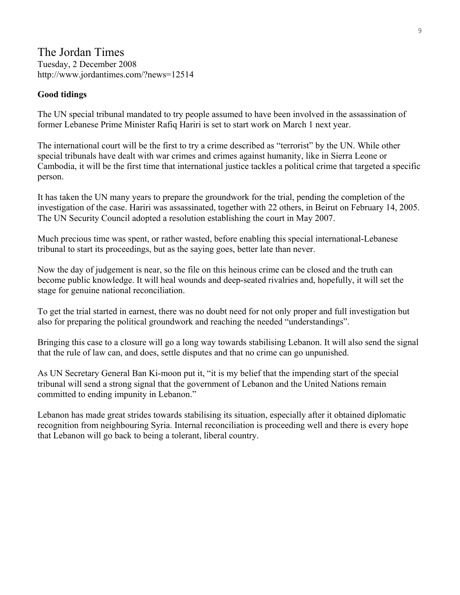### The Jordan Times Tuesday, 2 December 2008 http://www.jordantimes.com/?news=12514

### **Good tidings**

The UN special tribunal mandated to try people assumed to have been involved in the assassination of former Lebanese Prime Minister Rafiq Hariri is set to start work on March 1 next year.

The international court will be the first to try a crime described as "terrorist" by the UN. While other special tribunals have dealt with war crimes and crimes against humanity, like in Sierra Leone or Cambodia, it will be the first time that international justice tackles a political crime that targeted a specific person.

It has taken the UN many years to prepare the groundwork for the trial, pending the completion of the investigation of the case. Hariri was assassinated, together with 22 others, in Beirut on February 14, 2005. The UN Security Council adopted a resolution establishing the court in May 2007.

Much precious time was spent, or rather wasted, before enabling this special international-Lebanese tribunal to start its proceedings, but as the saying goes, better late than never.

Now the day of judgement is near, so the file on this heinous crime can be closed and the truth can become public knowledge. It will heal wounds and deep-seated rivalries and, hopefully, it will set the stage for genuine national reconciliation.

To get the trial started in earnest, there was no doubt need for not only proper and full investigation but also for preparing the political groundwork and reaching the needed "understandings".

Bringing this case to a closure will go a long way towards stabilising Lebanon. It will also send the signal that the rule of law can, and does, settle disputes and that no crime can go unpunished.

As UN Secretary General Ban Ki-moon put it, "it is my belief that the impending start of the special tribunal will send a strong signal that the government of Lebanon and the United Nations remain committed to ending impunity in Lebanon."

Lebanon has made great strides towards stabilising its situation, especially after it obtained diplomatic recognition from neighbouring Syria. Internal reconciliation is proceeding well and there is every hope that Lebanon will go back to being a tolerant, liberal country.